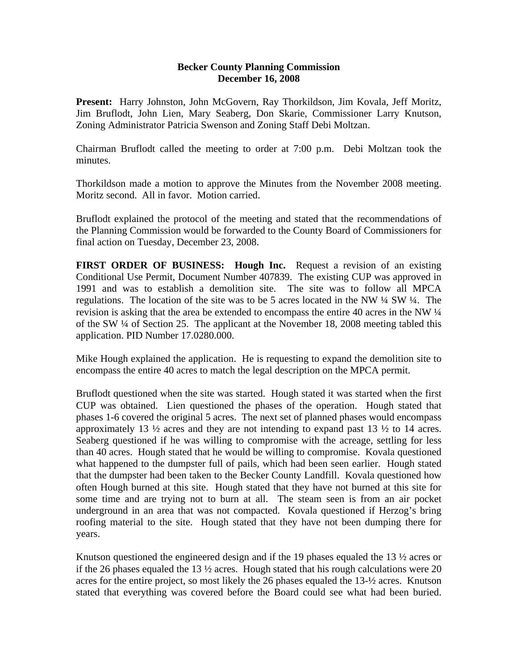## **Becker County Planning Commission December 16, 2008**

**Present:** Harry Johnston, John McGovern, Ray Thorkildson, Jim Kovala, Jeff Moritz, Jim Bruflodt, John Lien, Mary Seaberg, Don Skarie, Commissioner Larry Knutson, Zoning Administrator Patricia Swenson and Zoning Staff Debi Moltzan.

Chairman Bruflodt called the meeting to order at 7:00 p.m. Debi Moltzan took the minutes.

Thorkildson made a motion to approve the Minutes from the November 2008 meeting. Moritz second. All in favor. Motion carried.

Bruflodt explained the protocol of the meeting and stated that the recommendations of the Planning Commission would be forwarded to the County Board of Commissioners for final action on Tuesday, December 23, 2008.

**FIRST ORDER OF BUSINESS: Hough Inc.** Request a revision of an existing Conditional Use Permit, Document Number 407839. The existing CUP was approved in 1991 and was to establish a demolition site. The site was to follow all MPCA regulations. The location of the site was to be 5 acres located in the NW ¼ SW ¼. The revision is asking that the area be extended to encompass the entire 40 acres in the NW ¼ of the SW ¼ of Section 25. The applicant at the November 18, 2008 meeting tabled this application. PID Number 17.0280.000.

Mike Hough explained the application. He is requesting to expand the demolition site to encompass the entire 40 acres to match the legal description on the MPCA permit.

Bruflodt questioned when the site was started. Hough stated it was started when the first CUP was obtained. Lien questioned the phases of the operation. Hough stated that phases 1-6 covered the original 5 acres. The next set of planned phases would encompass approximately 13 ½ acres and they are not intending to expand past 13 ½ to 14 acres. Seaberg questioned if he was willing to compromise with the acreage, settling for less than 40 acres. Hough stated that he would be willing to compromise. Kovala questioned what happened to the dumpster full of pails, which had been seen earlier. Hough stated that the dumpster had been taken to the Becker County Landfill. Kovala questioned how often Hough burned at this site. Hough stated that they have not burned at this site for some time and are trying not to burn at all. The steam seen is from an air pocket underground in an area that was not compacted. Kovala questioned if Herzog's bring roofing material to the site. Hough stated that they have not been dumping there for years.

Knutson questioned the engineered design and if the 19 phases equaled the 13  $\frac{1}{2}$  acres or if the 26 phases equaled the 13 ½ acres. Hough stated that his rough calculations were 20 acres for the entire project, so most likely the 26 phases equaled the 13-½ acres. Knutson stated that everything was covered before the Board could see what had been buried.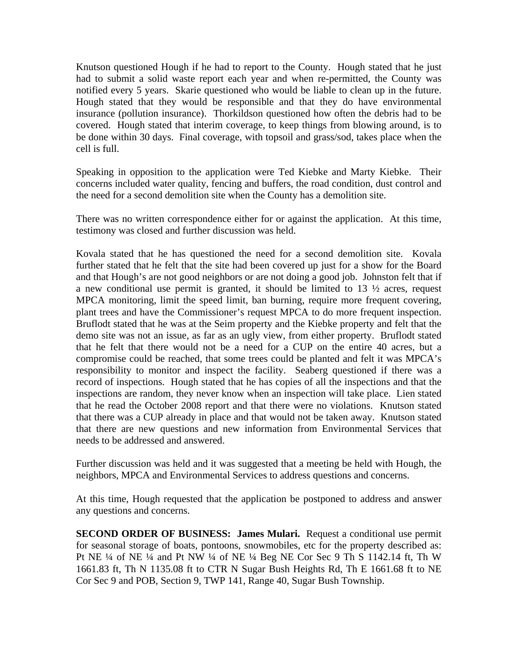Knutson questioned Hough if he had to report to the County. Hough stated that he just had to submit a solid waste report each year and when re-permitted, the County was notified every 5 years. Skarie questioned who would be liable to clean up in the future. Hough stated that they would be responsible and that they do have environmental insurance (pollution insurance). Thorkildson questioned how often the debris had to be covered. Hough stated that interim coverage, to keep things from blowing around, is to be done within 30 days. Final coverage, with topsoil and grass/sod, takes place when the cell is full.

Speaking in opposition to the application were Ted Kiebke and Marty Kiebke. Their concerns included water quality, fencing and buffers, the road condition, dust control and the need for a second demolition site when the County has a demolition site.

There was no written correspondence either for or against the application. At this time, testimony was closed and further discussion was held.

Kovala stated that he has questioned the need for a second demolition site. Kovala further stated that he felt that the site had been covered up just for a show for the Board and that Hough's are not good neighbors or are not doing a good job. Johnston felt that if a new conditional use permit is granted, it should be limited to 13 ½ acres, request MPCA monitoring, limit the speed limit, ban burning, require more frequent covering, plant trees and have the Commissioner's request MPCA to do more frequent inspection. Bruflodt stated that he was at the Seim property and the Kiebke property and felt that the demo site was not an issue, as far as an ugly view, from either property. Bruflodt stated that he felt that there would not be a need for a CUP on the entire 40 acres, but a compromise could be reached, that some trees could be planted and felt it was MPCA's responsibility to monitor and inspect the facility. Seaberg questioned if there was a record of inspections. Hough stated that he has copies of all the inspections and that the inspections are random, they never know when an inspection will take place. Lien stated that he read the October 2008 report and that there were no violations. Knutson stated that there was a CUP already in place and that would not be taken away. Knutson stated that there are new questions and new information from Environmental Services that needs to be addressed and answered.

Further discussion was held and it was suggested that a meeting be held with Hough, the neighbors, MPCA and Environmental Services to address questions and concerns.

At this time, Hough requested that the application be postponed to address and answer any questions and concerns.

**SECOND ORDER OF BUSINESS: James Mulari.** Request a conditional use permit for seasonal storage of boats, pontoons, snowmobiles, etc for the property described as: Pt NE ¼ of NE ¼ and Pt NW ¼ of NE ¼ Beg NE Cor Sec 9 Th S 1142.14 ft, Th W 1661.83 ft, Th N 1135.08 ft to CTR N Sugar Bush Heights Rd, Th E 1661.68 ft to NE Cor Sec 9 and POB, Section 9, TWP 141, Range 40, Sugar Bush Township.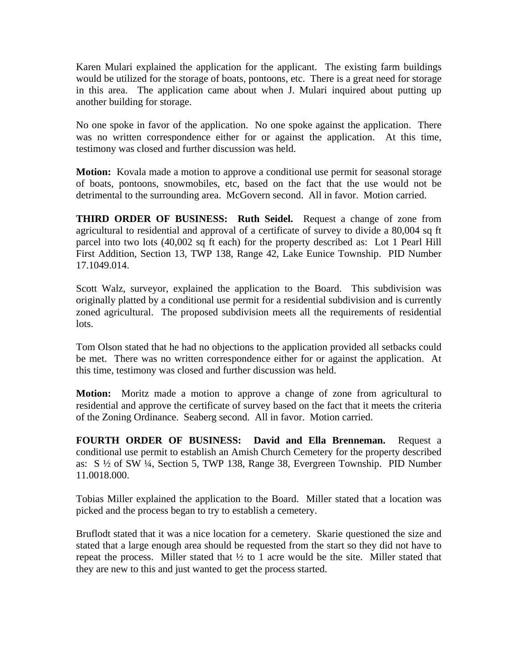Karen Mulari explained the application for the applicant. The existing farm buildings would be utilized for the storage of boats, pontoons, etc. There is a great need for storage in this area. The application came about when J. Mulari inquired about putting up another building for storage.

No one spoke in favor of the application. No one spoke against the application. There was no written correspondence either for or against the application. At this time, testimony was closed and further discussion was held.

**Motion:** Kovala made a motion to approve a conditional use permit for seasonal storage of boats, pontoons, snowmobiles, etc, based on the fact that the use would not be detrimental to the surrounding area. McGovern second. All in favor. Motion carried.

**THIRD ORDER OF BUSINESS: Ruth Seidel.** Request a change of zone from agricultural to residential and approval of a certificate of survey to divide a 80,004 sq ft parcel into two lots (40,002 sq ft each) for the property described as: Lot 1 Pearl Hill First Addition, Section 13, TWP 138, Range 42, Lake Eunice Township. PID Number 17.1049.014.

Scott Walz, surveyor, explained the application to the Board. This subdivision was originally platted by a conditional use permit for a residential subdivision and is currently zoned agricultural. The proposed subdivision meets all the requirements of residential lots.

Tom Olson stated that he had no objections to the application provided all setbacks could be met. There was no written correspondence either for or against the application. At this time, testimony was closed and further discussion was held.

**Motion:** Moritz made a motion to approve a change of zone from agricultural to residential and approve the certificate of survey based on the fact that it meets the criteria of the Zoning Ordinance. Seaberg second. All in favor. Motion carried.

**FOURTH ORDER OF BUSINESS: David and Ella Brenneman.** Request a conditional use permit to establish an Amish Church Cemetery for the property described as: S ½ of SW ¼, Section 5, TWP 138, Range 38, Evergreen Township. PID Number 11.0018.000.

Tobias Miller explained the application to the Board. Miller stated that a location was picked and the process began to try to establish a cemetery.

Bruflodt stated that it was a nice location for a cemetery. Skarie questioned the size and stated that a large enough area should be requested from the start so they did not have to repeat the process. Miller stated that  $\frac{1}{2}$  to 1 acre would be the site. Miller stated that they are new to this and just wanted to get the process started.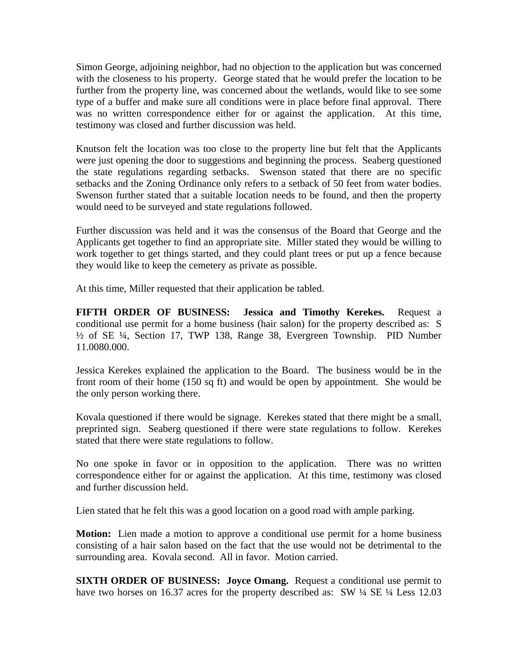Simon George, adjoining neighbor, had no objection to the application but was concerned with the closeness to his property. George stated that he would prefer the location to be further from the property line, was concerned about the wetlands, would like to see some type of a buffer and make sure all conditions were in place before final approval. There was no written correspondence either for or against the application. At this time, testimony was closed and further discussion was held.

Knutson felt the location was too close to the property line but felt that the Applicants were just opening the door to suggestions and beginning the process. Seaberg questioned the state regulations regarding setbacks. Swenson stated that there are no specific setbacks and the Zoning Ordinance only refers to a setback of 50 feet from water bodies. Swenson further stated that a suitable location needs to be found, and then the property would need to be surveyed and state regulations followed.

Further discussion was held and it was the consensus of the Board that George and the Applicants get together to find an appropriate site. Miller stated they would be willing to work together to get things started, and they could plant trees or put up a fence because they would like to keep the cemetery as private as possible.

At this time, Miller requested that their application be tabled.

**FIFTH ORDER OF BUSINESS: Jessica and Timothy Kerekes.** Request a conditional use permit for a home business (hair salon) for the property described as: S ½ of SE ¼, Section 17, TWP 138, Range 38, Evergreen Township. PID Number 11.0080.000.

Jessica Kerekes explained the application to the Board. The business would be in the front room of their home (150 sq ft) and would be open by appointment. She would be the only person working there.

Kovala questioned if there would be signage. Kerekes stated that there might be a small, preprinted sign. Seaberg questioned if there were state regulations to follow. Kerekes stated that there were state regulations to follow.

No one spoke in favor or in opposition to the application. There was no written correspondence either for or against the application. At this time, testimony was closed and further discussion held.

Lien stated that he felt this was a good location on a good road with ample parking.

**Motion:** Lien made a motion to approve a conditional use permit for a home business consisting of a hair salon based on the fact that the use would not be detrimental to the surrounding area. Kovala second. All in favor. Motion carried.

**SIXTH ORDER OF BUSINESS: Joyce Omang.** Request a conditional use permit to have two horses on 16.37 acres for the property described as: SW  $\frac{1}{4}$  SE  $\frac{1}{4}$  Less 12.03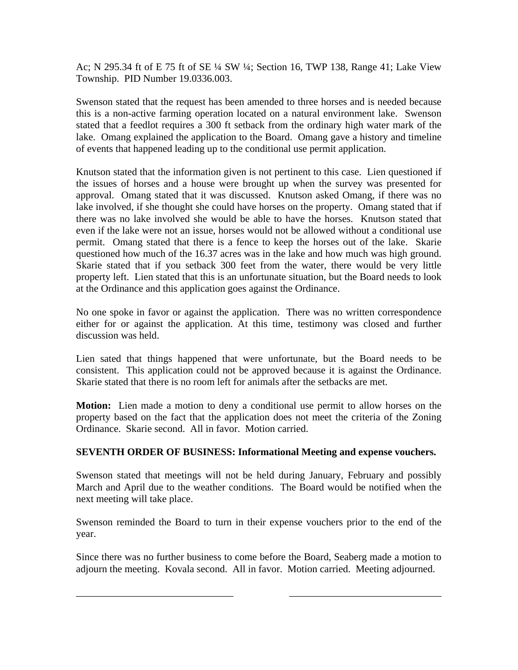Ac; N 295.34 ft of E 75 ft of SE ¼ SW ¼; Section 16, TWP 138, Range 41; Lake View Township. PID Number 19.0336.003.

Swenson stated that the request has been amended to three horses and is needed because this is a non-active farming operation located on a natural environment lake. Swenson stated that a feedlot requires a 300 ft setback from the ordinary high water mark of the lake. Omang explained the application to the Board. Omang gave a history and timeline of events that happened leading up to the conditional use permit application.

Knutson stated that the information given is not pertinent to this case. Lien questioned if the issues of horses and a house were brought up when the survey was presented for approval. Omang stated that it was discussed. Knutson asked Omang, if there was no lake involved, if she thought she could have horses on the property. Omang stated that if there was no lake involved she would be able to have the horses. Knutson stated that even if the lake were not an issue, horses would not be allowed without a conditional use permit. Omang stated that there is a fence to keep the horses out of the lake. Skarie questioned how much of the 16.37 acres was in the lake and how much was high ground. Skarie stated that if you setback 300 feet from the water, there would be very little property left. Lien stated that this is an unfortunate situation, but the Board needs to look at the Ordinance and this application goes against the Ordinance.

No one spoke in favor or against the application. There was no written correspondence either for or against the application. At this time, testimony was closed and further discussion was held.

Lien sated that things happened that were unfortunate, but the Board needs to be consistent. This application could not be approved because it is against the Ordinance. Skarie stated that there is no room left for animals after the setbacks are met.

**Motion:** Lien made a motion to deny a conditional use permit to allow horses on the property based on the fact that the application does not meet the criteria of the Zoning Ordinance. Skarie second. All in favor. Motion carried.

## **SEVENTH ORDER OF BUSINESS: Informational Meeting and expense vouchers.**

Swenson stated that meetings will not be held during January, February and possibly March and April due to the weather conditions. The Board would be notified when the next meeting will take place.

Swenson reminded the Board to turn in their expense vouchers prior to the end of the year.

Since there was no further business to come before the Board, Seaberg made a motion to adjourn the meeting. Kovala second. All in favor. Motion carried. Meeting adjourned.

\_\_\_\_\_\_\_\_\_\_\_\_\_\_\_\_\_\_\_\_\_\_\_\_\_\_\_\_\_\_\_ \_\_\_\_\_\_\_\_\_\_\_\_\_\_\_\_\_\_\_\_\_\_\_\_\_\_\_\_\_\_